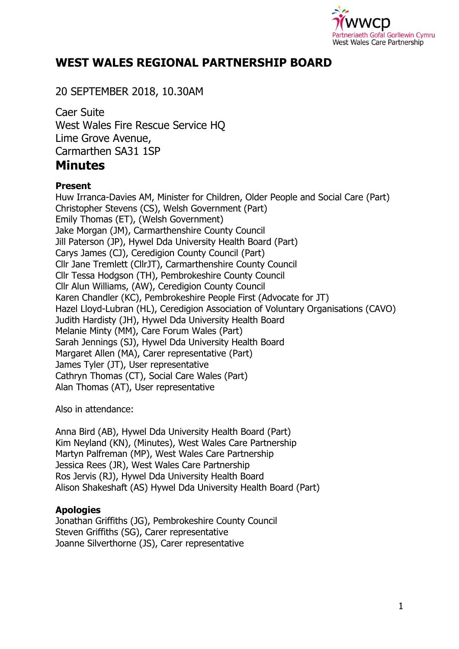

# **WEST WALES REGIONAL PARTNERSHIP BOARD**

# 20 SEPTEMBER 2018, 10.30AM

Caer Suite West Wales Fire Rescue Service HQ Lime Grove Avenue, Carmarthen SA31 1SP **Minutes** 

### **Present**

Huw Irranca-Davies AM, Minister for Children, Older People and Social Care (Part) Christopher Stevens (CS), Welsh Government (Part) Emily Thomas (ET), (Welsh Government) Jake Morgan (JM), Carmarthenshire County Council Jill Paterson (JP), Hywel Dda University Health Board (Part) Carys James (CJ), Ceredigion County Council (Part) Cllr Jane Tremlett (CllrJT), Carmarthenshire County Council Cllr Tessa Hodgson (TH), Pembrokeshire County Council Cllr Alun Williams, (AW), Ceredigion County Council Karen Chandler (KC), Pembrokeshire People First (Advocate for JT) Hazel Lloyd-Lubran (HL), Ceredigion Association of Voluntary Organisations (CAVO) Judith Hardisty (JH), Hywel Dda University Health Board Melanie Minty (MM), Care Forum Wales (Part) Sarah Jennings (SJ), Hywel Dda University Health Board Margaret Allen (MA), Carer representative (Part) James Tyler (JT), User representative Cathryn Thomas (CT), Social Care Wales (Part) Alan Thomas (AT), User representative

Also in attendance:

Anna Bird (AB), Hywel Dda University Health Board (Part) Kim Neyland (KN), (Minutes), West Wales Care Partnership Martyn Palfreman (MP), West Wales Care Partnership Jessica Rees (JR), West Wales Care Partnership Ros Jervis (RJ), Hywel Dda University Health Board Alison Shakeshaft (AS) Hywel Dda University Health Board (Part)

### **Apologies**

Jonathan Griffiths (JG), Pembrokeshire County Council Steven Griffiths (SG), Carer representative Joanne Silverthorne (JS), Carer representative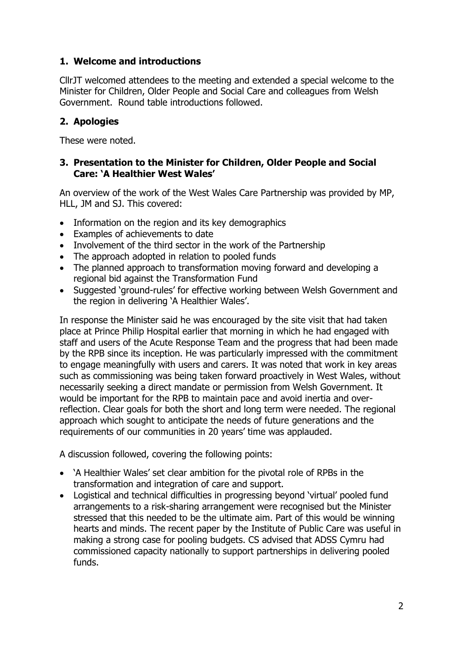# **1. Welcome and introductions**

CllrJT welcomed attendees to the meeting and extended a special welcome to the Minister for Children, Older People and Social Care and colleagues from Welsh Government. Round table introductions followed.

# **2. Apologies**

These were noted.

### **3. Presentation to the Minister for Children, Older People and Social Care: 'A Healthier West Wales'**

An overview of the work of the West Wales Care Partnership was provided by MP, HLL, JM and SJ. This covered:

- Information on the region and its key demographics
- Examples of achievements to date
- Involvement of the third sector in the work of the Partnership
- The approach adopted in relation to pooled funds
- The planned approach to transformation moving forward and developing a regional bid against the Transformation Fund
- Suggested 'ground-rules' for effective working between Welsh Government and the region in delivering 'A Healthier Wales'.

In response the Minister said he was encouraged by the site visit that had taken place at Prince Philip Hospital earlier that morning in which he had engaged with staff and users of the Acute Response Team and the progress that had been made by the RPB since its inception. He was particularly impressed with the commitment to engage meaningfully with users and carers. It was noted that work in key areas such as commissioning was being taken forward proactively in West Wales, without necessarily seeking a direct mandate or permission from Welsh Government. It would be important for the RPB to maintain pace and avoid inertia and overreflection. Clear goals for both the short and long term were needed. The regional approach which sought to anticipate the needs of future generations and the requirements of our communities in 20 years' time was applauded.

A discussion followed, covering the following points:

- 'A Healthier Wales' set clear ambition for the pivotal role of RPBs in the transformation and integration of care and support.
- Logistical and technical difficulties in progressing beyond 'virtual' pooled fund arrangements to a risk-sharing arrangement were recognised but the Minister stressed that this needed to be the ultimate aim. Part of this would be winning hearts and minds. The recent paper by the Institute of Public Care was useful in making a strong case for pooling budgets. CS advised that ADSS Cymru had commissioned capacity nationally to support partnerships in delivering pooled funds.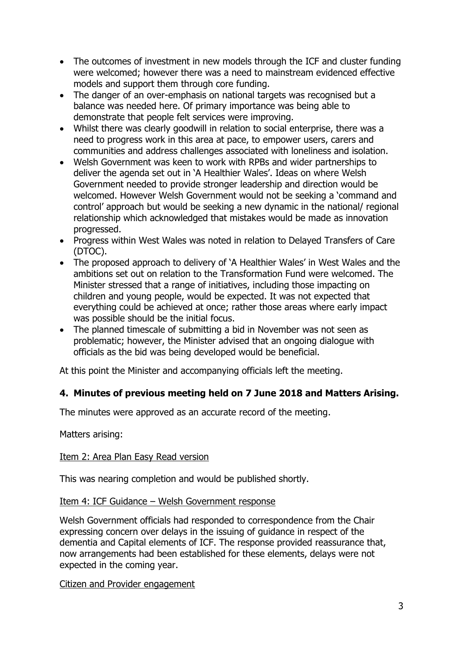- The outcomes of investment in new models through the ICF and cluster funding were welcomed; however there was a need to mainstream evidenced effective models and support them through core funding.
- The danger of an over-emphasis on national targets was recognised but a balance was needed here. Of primary importance was being able to demonstrate that people felt services were improving.
- Whilst there was clearly goodwill in relation to social enterprise, there was a need to progress work in this area at pace, to empower users, carers and communities and address challenges associated with loneliness and isolation.
- Welsh Government was keen to work with RPBs and wider partnerships to deliver the agenda set out in 'A Healthier Wales'. Ideas on where Welsh Government needed to provide stronger leadership and direction would be welcomed. However Welsh Government would not be seeking a 'command and control' approach but would be seeking a new dynamic in the national/ regional relationship which acknowledged that mistakes would be made as innovation progressed.
- Progress within West Wales was noted in relation to Delayed Transfers of Care (DTOC).
- The proposed approach to delivery of 'A Healthier Wales' in West Wales and the ambitions set out on relation to the Transformation Fund were welcomed. The Minister stressed that a range of initiatives, including those impacting on children and young people, would be expected. It was not expected that everything could be achieved at once; rather those areas where early impact was possible should be the initial focus.
- The planned timescale of submitting a bid in November was not seen as problematic; however, the Minister advised that an ongoing dialogue with officials as the bid was being developed would be beneficial.

At this point the Minister and accompanying officials left the meeting.

### **4. Minutes of previous meeting held on 7 June 2018 and Matters Arising.**

The minutes were approved as an accurate record of the meeting.

Matters arising:

### Item 2: Area Plan Easy Read version

This was nearing completion and would be published shortly.

### Item 4: ICF Guidance – Welsh Government response

Welsh Government officials had responded to correspondence from the Chair expressing concern over delays in the issuing of guidance in respect of the dementia and Capital elements of ICF. The response provided reassurance that, now arrangements had been established for these elements, delays were not expected in the coming year.

### Citizen and Provider engagement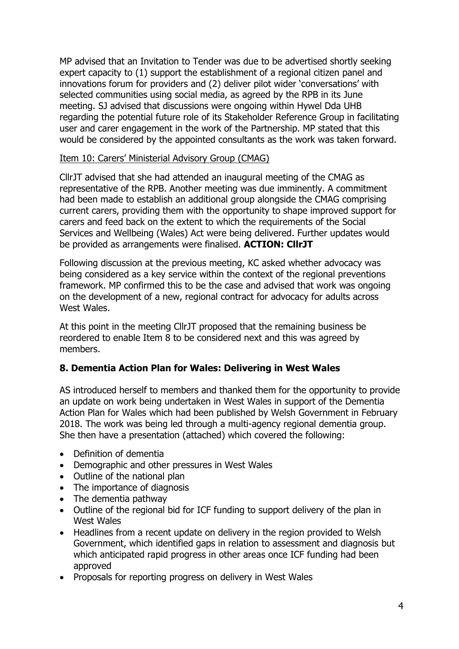MP advised that an Invitation to Tender was due to be advertised shortly seeking expert capacity to (1) support the establishment of a regional citizen panel and innovations forum for providers and (2) deliver pilot wider 'conversations' with selected communities using social media, as agreed by the RPB in its June meeting. SJ advised that discussions were ongoing within Hywel Dda UHB regarding the potential future role of its Stakeholder Reference Group in facilitating user and carer engagement in the work of the Partnership. MP stated that this would be considered by the appointed consultants as the work was taken forward.

### Item 10: Carers' Ministerial Advisory Group (CMAG)

CllrJT advised that she had attended an inaugural meeting of the CMAG as representative of the RPB. Another meeting was due imminently. A commitment had been made to establish an additional group alongside the CMAG comprising current carers, providing them with the opportunity to shape improved support for carers and feed back on the extent to which the requirements of the Social Services and Wellbeing (Wales) Act were being delivered. Further updates would be provided as arrangements were finalised. **ACTION: CllrJT**

Following discussion at the previous meeting, KC asked whether advocacy was being considered as a key service within the context of the regional preventions framework. MP confirmed this to be the case and advised that work was ongoing on the development of a new, regional contract for advocacy for adults across West Wales.

At this point in the meeting CllrJT proposed that the remaining business be reordered to enable Item 8 to be considered next and this was agreed by members.

### **8. Dementia Action Plan for Wales: Delivering in West Wales**

AS introduced herself to members and thanked them for the opportunity to provide an update on work being undertaken in West Wales in support of the Dementia Action Plan for Wales which had been published by Welsh Government in February 2018. The work was being led through a multi-agency regional dementia group. She then have a presentation (attached) which covered the following:

- Definition of dementia
- Demographic and other pressures in West Wales
- Outline of the national plan
- The importance of diagnosis
- The dementia pathway
- Outline of the regional bid for ICF funding to support delivery of the plan in West Wales
- Headlines from a recent update on delivery in the region provided to Welsh Government, which identified gaps in relation to assessment and diagnosis but which anticipated rapid progress in other areas once ICF funding had been approved
- Proposals for reporting progress on delivery in West Wales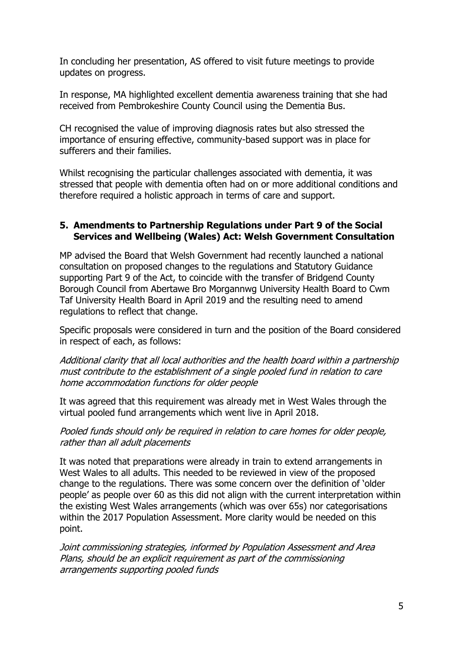In concluding her presentation, AS offered to visit future meetings to provide updates on progress.

In response, MA highlighted excellent dementia awareness training that she had received from Pembrokeshire County Council using the Dementia Bus.

CH recognised the value of improving diagnosis rates but also stressed the importance of ensuring effective, community-based support was in place for sufferers and their families.

Whilst recognising the particular challenges associated with dementia, it was stressed that people with dementia often had on or more additional conditions and therefore required a holistic approach in terms of care and support.

#### **5. Amendments to Partnership Regulations under Part 9 of the Social Services and Wellbeing (Wales) Act: Welsh Government Consultation**

MP advised the Board that Welsh Government had recently launched a national consultation on proposed changes to the regulations and Statutory Guidance supporting Part 9 of the Act, to coincide with the transfer of Bridgend County Borough Council from Abertawe Bro Morgannwg University Health Board to Cwm Taf University Health Board in April 2019 and the resulting need to amend regulations to reflect that change.

Specific proposals were considered in turn and the position of the Board considered in respect of each, as follows:

Additional clarity that all local authorities and the health board within a partnership must contribute to the establishment of a single pooled fund in relation to care home accommodation functions for older people

It was agreed that this requirement was already met in West Wales through the virtual pooled fund arrangements which went live in April 2018.

Pooled funds should only be required in relation to care homes for older people, rather than all adult placements

It was noted that preparations were already in train to extend arrangements in West Wales to all adults. This needed to be reviewed in view of the proposed change to the regulations. There was some concern over the definition of 'older people' as people over 60 as this did not align with the current interpretation within the existing West Wales arrangements (which was over 65s) nor categorisations within the 2017 Population Assessment. More clarity would be needed on this point.

Joint commissioning strategies, informed by Population Assessment and Area Plans, should be an explicit requirement as part of the commissioning arrangements supporting pooled funds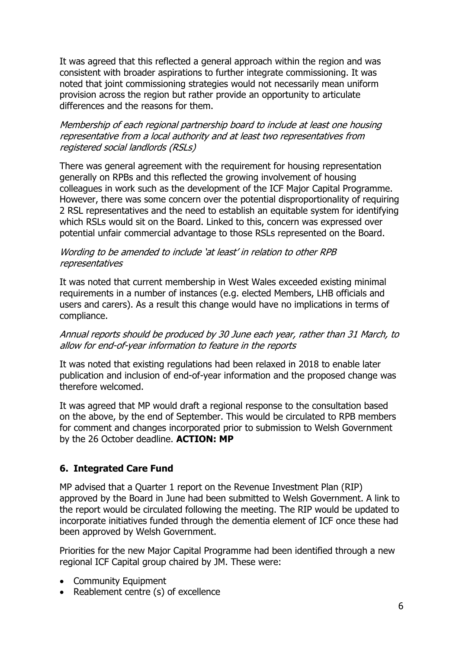It was agreed that this reflected a general approach within the region and was consistent with broader aspirations to further integrate commissioning. It was noted that joint commissioning strategies would not necessarily mean uniform provision across the region but rather provide an opportunity to articulate differences and the reasons for them.

### Membership of each regional partnership board to include at least one housing representative from a local authority and at least two representatives from registered social landlords (RSLs)

There was general agreement with the requirement for housing representation generally on RPBs and this reflected the growing involvement of housing colleagues in work such as the development of the ICF Major Capital Programme. However, there was some concern over the potential disproportionality of requiring 2 RSL representatives and the need to establish an equitable system for identifying which RSLs would sit on the Board. Linked to this, concern was expressed over potential unfair commercial advantage to those RSLs represented on the Board.

#### Wording to be amended to include 'at least' in relation to other RPB representatives

It was noted that current membership in West Wales exceeded existing minimal requirements in a number of instances (e.g. elected Members, LHB officials and users and carers). As a result this change would have no implications in terms of compliance.

### Annual reports should be produced by 30 June each year, rather than 31 March, to allow for end-of-year information to feature in the reports

It was noted that existing regulations had been relaxed in 2018 to enable later publication and inclusion of end-of-year information and the proposed change was therefore welcomed.

It was agreed that MP would draft a regional response to the consultation based on the above, by the end of September. This would be circulated to RPB members for comment and changes incorporated prior to submission to Welsh Government by the 26 October deadline. **ACTION: MP**

### **6. Integrated Care Fund**

MP advised that a Quarter 1 report on the Revenue Investment Plan (RIP) approved by the Board in June had been submitted to Welsh Government. A link to the report would be circulated following the meeting. The RIP would be updated to incorporate initiatives funded through the dementia element of ICF once these had been approved by Welsh Government.

Priorities for the new Major Capital Programme had been identified through a new regional ICF Capital group chaired by JM. These were:

- Community Equipment
- Reablement centre (s) of excellence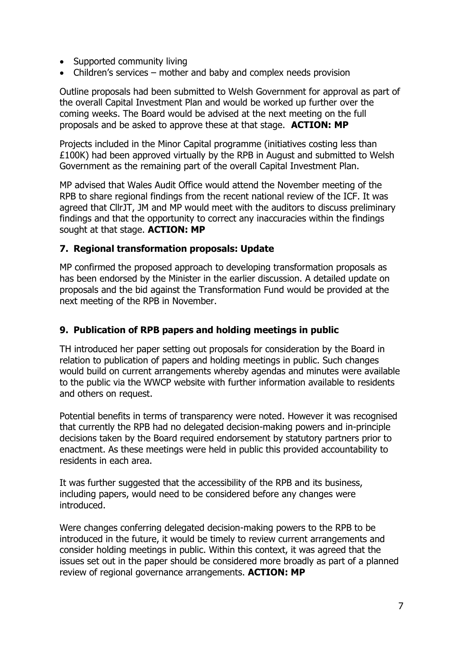- Supported community living
- Children's services mother and baby and complex needs provision

Outline proposals had been submitted to Welsh Government for approval as part of the overall Capital Investment Plan and would be worked up further over the coming weeks. The Board would be advised at the next meeting on the full proposals and be asked to approve these at that stage. **ACTION: MP**

Projects included in the Minor Capital programme (initiatives costing less than £100K) had been approved virtually by the RPB in August and submitted to Welsh Government as the remaining part of the overall Capital Investment Plan.

MP advised that Wales Audit Office would attend the November meeting of the RPB to share regional findings from the recent national review of the ICF. It was agreed that CllrJT, JM and MP would meet with the auditors to discuss preliminary findings and that the opportunity to correct any inaccuracies within the findings sought at that stage. **ACTION: MP**

#### **7. Regional transformation proposals: Update**

MP confirmed the proposed approach to developing transformation proposals as has been endorsed by the Minister in the earlier discussion. A detailed update on proposals and the bid against the Transformation Fund would be provided at the next meeting of the RPB in November.

### **9. Publication of RPB papers and holding meetings in public**

TH introduced her paper setting out proposals for consideration by the Board in relation to publication of papers and holding meetings in public. Such changes would build on current arrangements whereby agendas and minutes were available to the public via the WWCP website with further information available to residents and others on request.

Potential benefits in terms of transparency were noted. However it was recognised that currently the RPB had no delegated decision-making powers and in-principle decisions taken by the Board required endorsement by statutory partners prior to enactment. As these meetings were held in public this provided accountability to residents in each area.

It was further suggested that the accessibility of the RPB and its business, including papers, would need to be considered before any changes were introduced.

Were changes conferring delegated decision-making powers to the RPB to be introduced in the future, it would be timely to review current arrangements and consider holding meetings in public. Within this context, it was agreed that the issues set out in the paper should be considered more broadly as part of a planned review of regional governance arrangements. **ACTION: MP**